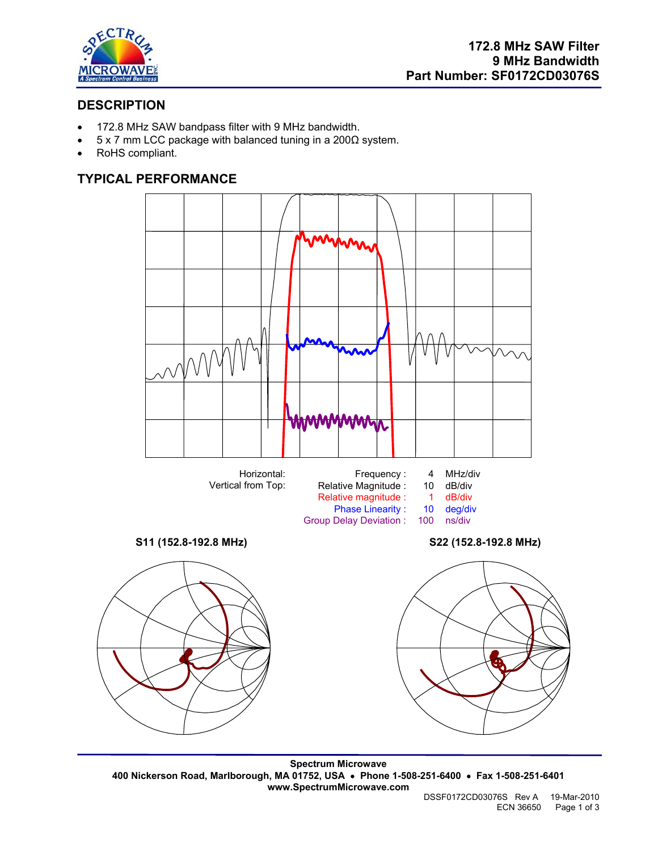

# **DESCRIPTION**

- 172.8 MHz SAW bandpass filter with 9 MHz bandwidth.
- 5 x 7 mm LCC package with balanced tuning in a 200Ω system.
- RoHS compliant.

# **TYPICAL PERFORMANCE**







Phase Linearity : 10 deg/di<br>Delay Deviation : 100 ns/div

Group Delay Deviation :



**Spectrum Microwave 400 Nickerson Road, Marlborough, MA 01752, USA** • **Phone 1-508-251-6400** • **Fax 1-508-251-6401 www.SpectrumMicrowave.com**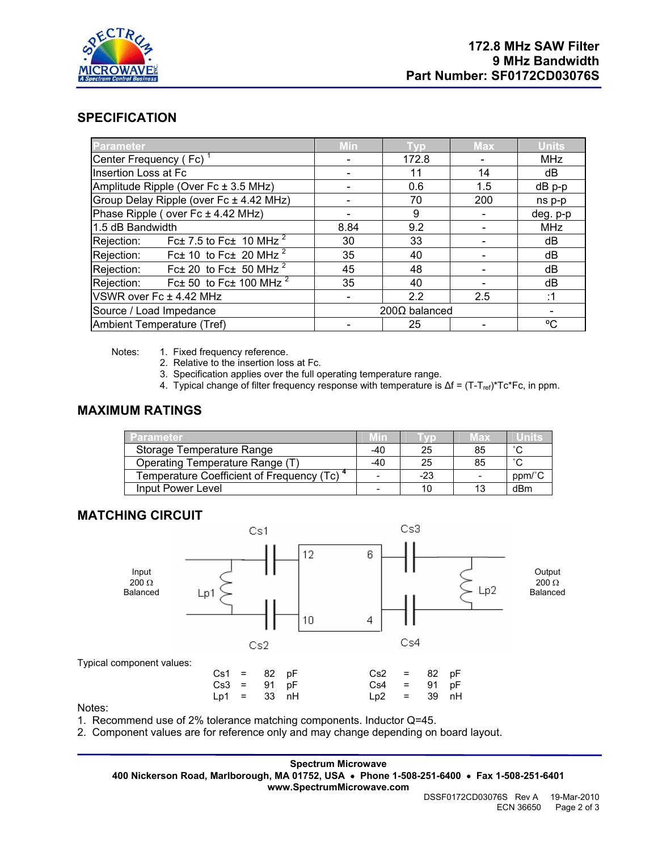

## **SPECIFICATION**

| <b>Parameter</b>                                          | Min           | Tvp   | <b>Max</b> | <b>Units</b> |
|-----------------------------------------------------------|---------------|-------|------------|--------------|
| Center Frequency (Fc) <sup>1</sup>                        |               | 172.8 |            | <b>MHz</b>   |
| Insertion Loss at Fc                                      |               | 11    | 14         | dB           |
| Amplitude Ripple (Over Fc ± 3.5 MHz)                      |               | 0.6   | 1.5        | $dB$ p-p     |
| Group Delay Ripple (over Fc ± 4.42 MHz)                   |               | 70    | 200        | ns p-p       |
| Phase Ripple (over Fc ± 4.42 MHz)                         |               | 9     |            | deg. p-p     |
| 1.5 dB Bandwidth                                          | 8.84          | 9.2   |            | <b>MHz</b>   |
| Rejection: Fc $\pm$ 7.5 to Fc $\pm$ 10 MHz $^2$           | 30            | 33    |            | dB           |
| Rejection: Fc $\pm$ 10 to Fc $\pm$ 20 MHz <sup>2</sup>    | 35            | 40    |            | dB           |
| Fc $\pm$ 20 to Fc $\pm$ 50 MHz <sup>2</sup><br>Rejection: | 45            | 48    |            | dB           |
| Rejection: Fc $\pm$ 50 to Fc $\pm$ 100 MHz $^2$           | 35            | 40    |            | dB           |
| VSWR over Fc ± 4.42 MHz                                   |               | 2.2   | 2.5        | :1           |
| Source / Load Impedance                                   | 200Ω balanced |       |            |              |
| Ambient Temperature (Tref)                                |               | 25    |            | °C           |

Notes: 1. Fixed frequency reference.

- 2. Relative to the insertion loss at Fc.
- 3. Specification applies over the full operating temperature range.
- 4. Typical change of filter frequency response with temperature is Δf = (T-T<sub>ref)</sub>\*Tc\*Fc, in ppm.

## **MAXIMUM RATINGS**

| <b>TParameter</b>                                      | vm                       |       | иах | units  |
|--------------------------------------------------------|--------------------------|-------|-----|--------|
| Storage Temperature Range                              | $-40$                    | 25    | 85  | $\sim$ |
| Operating Temperature Range (T)                        | -40                      | 25    | 85  | $\sim$ |
| Temperature Coefficient of Frequency (Tc) <sup>4</sup> |                          | $-23$ |     | ppm/°C |
| Input Power Level                                      | $\overline{\phantom{0}}$ | 10    | 13  | dBm    |

### **MATCHING CIRCUIT**



Notes:

1. Recommend use of 2% tolerance matching components. Inductor Q=45.

2. Component values are for reference only and may change depending on board layout.

**Spectrum Microwave 400 Nickerson Road, Marlborough, MA 01752, USA** • **Phone 1-508-251-6400** • **Fax 1-508-251-6401 www.SpectrumMicrowave.com**